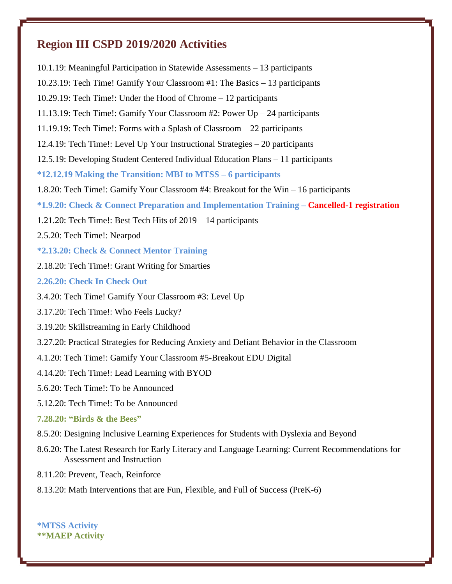# **Region III CSPD 2019/2020 Activities**

10.1.19: Meaningful Participation in Statewide Assessments – 13 participants 10.23.19: Tech Time! Gamify Your Classroom #1: The Basics – 13 participants 10.29.19: Tech Time!: Under the Hood of Chrome – 12 participants 11.13.19: Tech Time!: Gamify Your Classroom #2: Power Up – 24 participants 11.19.19: Tech Time!: Forms with a Splash of Classroom – 22 participants 12.4.19: Tech Time!: Level Up Your Instructional Strategies – 20 participants 12.5.19: Developing Student Centered Individual Education Plans – 11 participants **\*12.12.19 Making the Transition: MBI to MTSS – 6 participants** 1.8.20: Tech Time!: Gamify Your Classroom #4: Breakout for the Win – 16 participants **\*1.9.20: Check & Connect Preparation and Implementation Training – Cancelled-1 registration** 1.21.20: Tech Time!: Best Tech Hits of 2019 – 14 participants 2.5.20: Tech Time!: Nearpod **\*2.13.20: Check & Connect Mentor Training** 2.18.20: Tech Time!: Grant Writing for Smarties **2.26.20: Check In Check Out** 3.4.20: Tech Time! Gamify Your Classroom #3: Level Up 3.17.20: Tech Time!: Who Feels Lucky? 3.19.20: Skillstreaming in Early Childhood 3.27.20: Practical Strategies for Reducing Anxiety and Defiant Behavior in the Classroom 4.1.20: Tech Time!: Gamify Your Classroom #5-Breakout EDU Digital 4.14.20: Tech Time!: Lead Learning with BYOD 5.6.20: Tech Time!: To be Announced 5.12.20: Tech Time!: To be Announced **7.28.20: "Birds & the Bees"** 8.5.20: Designing Inclusive Learning Experiences for Students with Dyslexia and Beyond 8.6.20: The Latest Research for Early Literacy and Language Learning: Current Recommendations for Assessment and Instruction 8.11.20: Prevent, Teach, Reinforce 8.13.20: Math Interventions that are Fun, Flexible, and Full of Success (PreK-6)

**\*MTSS Activity \*\*MAEP Activity**